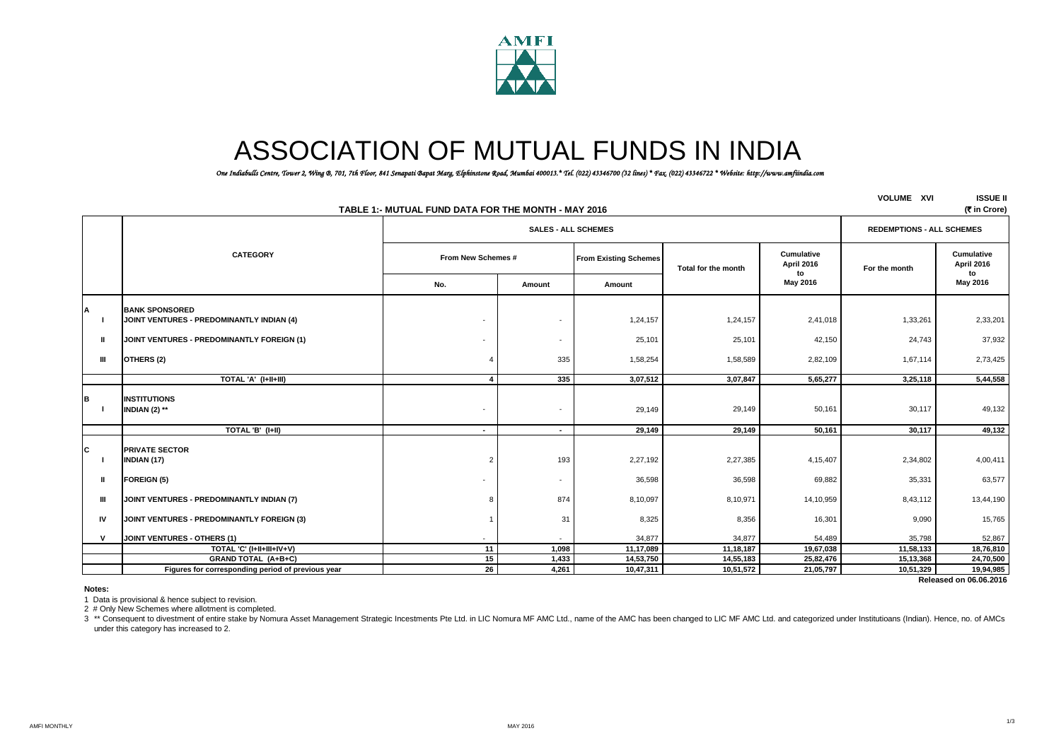

# ASSOCIATION OF MUTUAL FUNDS IN INDIA

*One Indiabulls Centre, Tower 2, Wing B, 701, 7th Floor, 841 Senapati Bapat Marg, Elphinstone Road, Mumbai 400013.\* Tel. (022) 43346700 (32 lines) \* Fax. (022) 43346722 \* Website: http://www.amfiindia.com*

|              | TABLE 1:- MUTUAL FUND DATA FOR THE MONTH - MAY 2016                | <b>VOLUME XVI</b>        | <b>ISSUE II</b><br>(₹ in Crore)  |                              |                     |                                |               |                                       |
|--------------|--------------------------------------------------------------------|--------------------------|----------------------------------|------------------------------|---------------------|--------------------------------|---------------|---------------------------------------|
|              |                                                                    |                          | <b>REDEMPTIONS - ALL SCHEMES</b> |                              |                     |                                |               |                                       |
|              | <b>CATEGORY</b>                                                    | From New Schemes #       |                                  | <b>From Existing Schemes</b> | Total for the month | Cumulative<br>April 2016<br>to | For the month | Cumulative<br><b>April 2016</b><br>to |
|              |                                                                    | No.                      | Amount                           | Amount                       |                     | May 2016                       |               | May 2016                              |
| А            | <b>BANK SPONSORED</b><br>JOINT VENTURES - PREDOMINANTLY INDIAN (4) | $\overline{\phantom{a}}$ | $\overline{\phantom{a}}$         | 1,24,157                     | 1,24,157            | 2,41,018                       | 1,33,261      | 2,33,201                              |
| $\mathbf{I}$ | JOINT VENTURES - PREDOMINANTLY FOREIGN (1)                         |                          | $\overline{\phantom{a}}$         | 25,101                       | 25,101              | 42,150                         | 24,743        | 37,932                                |
| Ш            | OTHERS (2)                                                         |                          | 335                              | 1,58,254                     | 1,58,589            | 2,82,109                       | 1,67,114      | 2,73,425                              |
|              | TOTAL 'A' (I+II+III)                                               |                          | 335                              | 3,07,512                     | 3,07,847            | 5,65,277                       | 3,25,118      | 5,44,558                              |
|              | <b>INSTITUTIONS</b><br>INDIAN (2) **                               |                          | $\overline{\phantom{a}}$         | 29,149                       | 29,149              | 50,161                         | 30,117        | 49,132                                |
|              | TOTAL 'B' (I+II)                                                   | $\blacksquare$           | $\blacksquare$                   | 29,149                       | 29,149              | 50,161                         | 30,117        | 49,132                                |
| C            | <b>PRIVATE SECTOR</b><br><b>INDIAN (17)</b>                        |                          | 193                              | 2,27,192                     | 2,27,385            | 4,15,407                       | 2,34,802      | 4,00,411                              |
| Ш            | <b>FOREIGN (5)</b>                                                 |                          | $\sim$                           | 36,598                       | 36,598              | 69,882                         | 35,331        | 63,577                                |
| Ш            | JOINT VENTURES - PREDOMINANTLY INDIAN (7)                          |                          | 874                              | 8,10,097                     | 8,10,971            | 14,10,959                      | 8,43,112      | 13,44,190                             |
| IV           | JOINT VENTURES - PREDOMINANTLY FOREIGN (3)                         |                          | 31                               | 8,325                        | 8,356               | 16,301                         | 9,090         | 15,765                                |
| v            | JOINT VENTURES - OTHERS (1)                                        |                          |                                  | 34,877                       | 34,877              | 54,489                         | 35,798        | 52,867                                |
|              | TOTAL 'C' (I+II+III+IV+V)                                          | 11                       | 1,098                            | 11,17,089                    | 11,18,187           | 19,67,038                      | 11,58,133     | 18,76,810                             |
|              | GRAND TOTAL (A+B+C)                                                | 15                       | 1,433                            | 14,53,750                    | 14,55,183           | 25,82,476                      | 15,13,368     | 24,70,500                             |
|              | Figures for corresponding period of previous year                  | 26                       | 4,261                            | 10,47,311                    | 10,51,572           | 21,05,797                      | 10,51,329     | 19,94,985                             |

 **Released on 06.06.2016**

**Notes:**

1 Data is provisional & hence subject to revision.

2 # Only New Schemes where allotment is completed.

3 \*\* Consequent to divestment of entire stake by Nomura Asset Management Strategic Incestments Pte Ltd. in LIC Nomura MF AMC Ltd., name of the AMC has been changed to LIC MF AMC Ltd. and categorized under Institutioans (In under this category has increased to 2.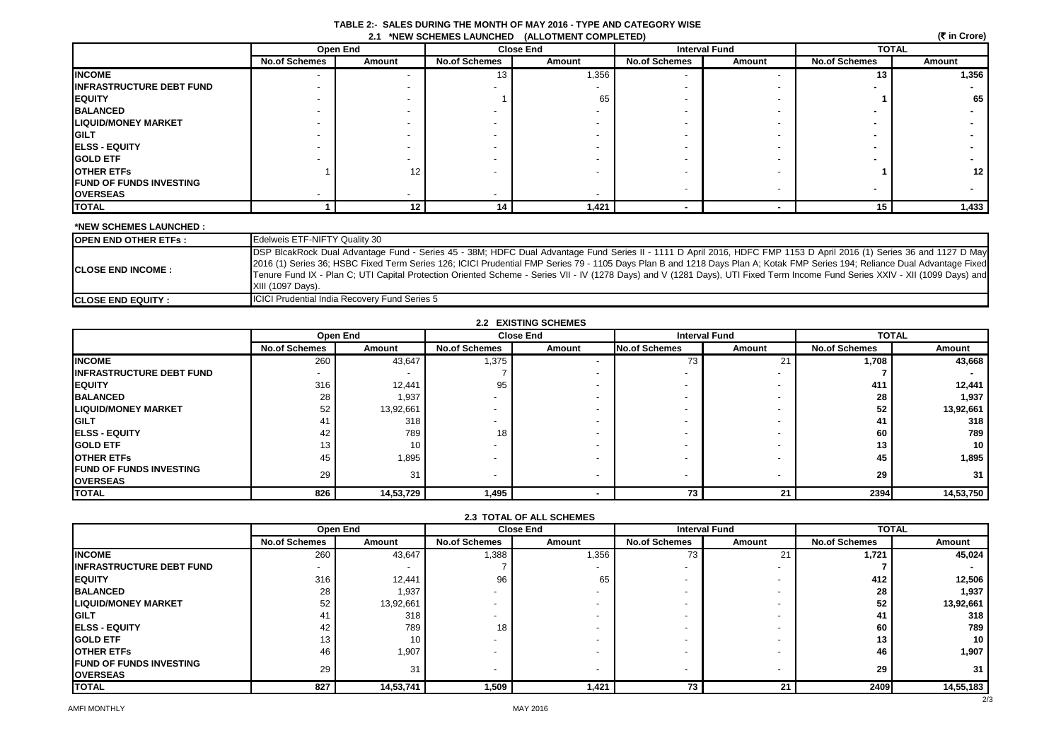| TABLE 2:- SALES DURING THE MONTH OF MAY 2016 - TYPE AND CATEGORY WISE |  |
|-----------------------------------------------------------------------|--|
| 2.1 *NEW SCHEMES LAUNCHED (ALLOTMENT COMPLETED)                       |  |

|                                 | (रैं in Crore)<br>2.1 *NEW SCHEMES LAUNCHED (ALLOTMENT COMPLETED) |          |                      |        |                      |                          |                      |                 |  |
|---------------------------------|-------------------------------------------------------------------|----------|----------------------|--------|----------------------|--------------------------|----------------------|-----------------|--|
|                                 |                                                                   | Open End | <b>Close End</b>     |        | <b>Interval Fund</b> |                          | <b>TOTAL</b>         |                 |  |
|                                 | <b>No.of Schemes</b>                                              | Amount   | <b>No.of Schemes</b> | Amount | <b>No.of Schemes</b> | Amount                   | <b>No.of Schemes</b> | Amount          |  |
| <b>INCOME</b>                   |                                                                   |          | 13                   | 1,356  |                      |                          | 13                   | 1,356           |  |
| <b>INFRASTRUCTURE DEBT FUND</b> |                                                                   |          |                      |        |                      |                          |                      |                 |  |
| <b>EQUITY</b>                   |                                                                   |          |                      | 65     |                      |                          |                      | 65              |  |
| <b>BALANCED</b>                 |                                                                   |          |                      |        |                      |                          |                      |                 |  |
| <b>LIQUID/MONEY MARKET</b>      |                                                                   |          |                      |        |                      |                          |                      |                 |  |
| <b>GILT</b>                     |                                                                   |          |                      |        |                      |                          |                      |                 |  |
| <b>ELSS - EQUITY</b>            |                                                                   |          |                      |        |                      |                          |                      |                 |  |
| <b>GOLD ETF</b>                 |                                                                   |          |                      |        |                      |                          |                      |                 |  |
| <b>OTHER ETFS</b>               |                                                                   | 12       |                      |        |                      |                          |                      | 12 <sub>1</sub> |  |
| <b>FUND OF FUNDS INVESTING</b>  |                                                                   |          |                      |        |                      | $\overline{\phantom{a}}$ |                      |                 |  |
| <b>OVERSEAS</b>                 |                                                                   |          |                      |        |                      |                          |                      |                 |  |
| <b>TOTAL</b>                    |                                                                   | 12.      | 14                   | 1,421  |                      |                          | 15                   | 1,433           |  |

### **\*NEW SCHEMES LAUNCHED :**

| <b>IOPEN END OTHER ETFs :</b> | Edelweis ETF-NIFTY Quality 30                                                                                                                                                                                                                                                                                                                                                                                                                                                                                                                              |
|-------------------------------|------------------------------------------------------------------------------------------------------------------------------------------------------------------------------------------------------------------------------------------------------------------------------------------------------------------------------------------------------------------------------------------------------------------------------------------------------------------------------------------------------------------------------------------------------------|
| <b>ICLOSE END INCOME :</b>    | DSP BlcakRock Dual Advantage Fund - Series 45 - 38M; HDFC Dual Advantage Fund Series II - 1111 D April 2016, HDFC FMP 1153 D April 2016 (1) Series 36 and 1127 D May<br>[2016 (1) Series 36; HSBC Fixed Term Series 126; ICICI Prudential FMP Series 79 - 1105 Days Plan B and 1218 Days Plan A; Kotak FMP Series 194; Reliance Dual Advantage Fixed<br>Tenure Fund IX - Plan C; UTI Capital Protection Oriented Scheme - Series VII - IV (1278 Days) and V (1281 Days), UTI Fixed Term Income Fund Series XXIV - XII (1099 Days) and<br>XIII (1097 Days). |
| <b>ICLOSE END EQUITY :</b>    | <b>ICICI Prudential India Recovery Fund Series 5</b>                                                                                                                                                                                                                                                                                                                                                                                                                                                                                                       |

## **2.2 EXISTING SCHEMES**

|                                  |                      | Open End                 |                          | <b>Close End</b> |                      | <b>Interval Fund</b> |                      | <b>TOTAL</b> |  |
|----------------------------------|----------------------|--------------------------|--------------------------|------------------|----------------------|----------------------|----------------------|--------------|--|
|                                  | <b>No.of Schemes</b> | Amount                   | <b>No.of Schemes</b>     | Amount           | <b>No.of Schemes</b> | Amount               | <b>No.of Schemes</b> | Amount       |  |
| <b>INCOME</b>                    | 260                  | 43,647                   | 1,375                    |                  | 73                   | 21                   | 1,708                | 43,668       |  |
| <b>IINFRASTRUCTURE DEBT FUND</b> |                      | $\overline{\phantom{a}}$ |                          |                  |                      |                      |                      |              |  |
| <b>IEQUITY</b>                   | 316                  | 12,441                   | 95                       |                  |                      |                      | 411                  | 12,441       |  |
| <b>BALANCED</b>                  | 28                   | 1,937                    |                          |                  |                      |                      | 28                   | 1,937        |  |
| <b>LIQUID/MONEY MARKET</b>       | 52                   | 13,92,661                |                          |                  |                      |                      | 52                   | 13,92,661    |  |
| <b>IGILT</b>                     | 41                   | 318                      |                          |                  |                      |                      |                      | 318          |  |
| <b>IELSS - EQUITY</b>            | 42                   | 789                      | 18                       |                  |                      |                      | 60                   | 789          |  |
| <b>IGOLD ETF</b>                 | 13                   | 10                       |                          |                  |                      |                      | 13                   | 10           |  |
| <b>OTHER ETFS</b>                | 45                   | 1,895                    |                          |                  |                      |                      | 45                   | 1,895        |  |
| <b>IFUND OF FUNDS INVESTING</b>  | 29                   | 31                       | $\overline{\phantom{a}}$ |                  |                      |                      | 29                   | 31           |  |
| <b>OVERSEAS</b>                  |                      |                          |                          |                  |                      |                      |                      |              |  |
| <b>TOTAL</b>                     | 826                  | 14,53,729                | 1,495                    |                  | 73                   | 21                   | 2394                 | 14,53,750    |  |

| <b>LUIRE OF ALL SUILMES</b>     |                      |           |                      |        |                      |        |                      |           |  |
|---------------------------------|----------------------|-----------|----------------------|--------|----------------------|--------|----------------------|-----------|--|
|                                 |                      | Open End  | <b>Close End</b>     |        | <b>Interval Fund</b> |        | <b>TOTAL</b>         |           |  |
|                                 | <b>No.of Schemes</b> | Amount    | <b>No.of Schemes</b> | Amount | <b>No.of Schemes</b> | Amount | <b>No.of Schemes</b> | Amount    |  |
| <b>INCOME</b>                   | 260                  | 43,647    | 1,388                | 1,356  | 73                   | ∠ ।    | 1,721                | 45,024    |  |
| <b>INFRASTRUCTURE DEBT FUND</b> |                      |           |                      |        |                      |        |                      |           |  |
| <b>EQUITY</b>                   | 316                  | 12,441    | 96                   | 65     |                      |        | 412                  | 12,506    |  |
| <b>BALANCED</b>                 | 28                   | 1,937     |                      |        |                      |        | 28                   | 1,937     |  |
| <b>LIQUID/MONEY MARKET</b>      | 52                   | 13,92,661 |                      |        |                      |        | 52                   | 13,92,661 |  |
| <b>GILT</b>                     | 41                   | 318       |                      |        |                      |        |                      | 318       |  |
| <b>IELSS - EQUITY</b>           | 42                   | 789       | 18                   |        |                      |        | 60                   | 789       |  |
| <b>GOLD ETF</b>                 | 13                   | 10        |                      |        |                      |        | 13                   | 10        |  |
| <b>OTHER ETFS</b>               | 46                   | 1,907     |                      |        |                      |        | 46                   | 1,907     |  |
| <b>FUND OF FUNDS INVESTING</b>  | 29                   | 31        |                      |        |                      |        | 29                   | 31        |  |
| <b>OVERSEAS</b>                 |                      |           |                      |        |                      |        |                      |           |  |
| <b>TOTAL</b>                    | 827                  | 14,53,741 | 1,509                | 1,421  | 73                   | 21     | 2409                 | 14,55,183 |  |

# **2.3 TOTAL OF ALL SCHEMES**